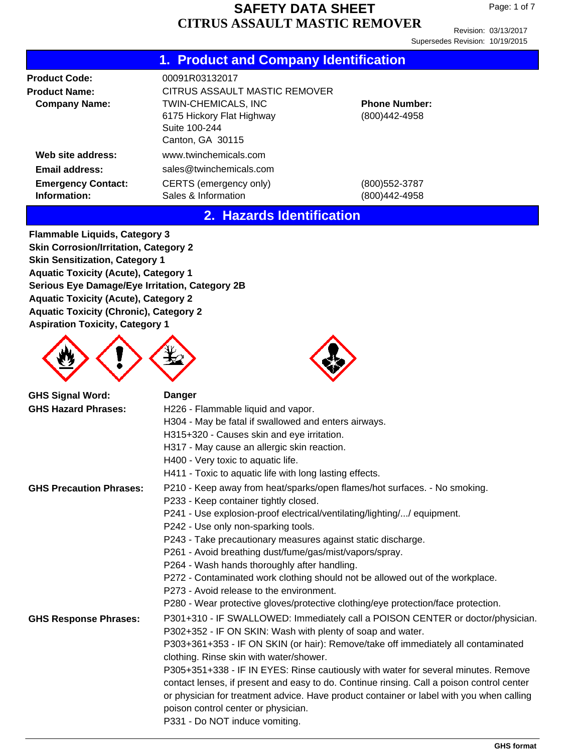Revision: 03/13/2017 Supersedes Revision: 10/19/2015

## **1. Product and Company Identification**

| <b>Product Code:</b>                      | 00091R03132017                                                                               |                                       |
|-------------------------------------------|----------------------------------------------------------------------------------------------|---------------------------------------|
| <b>Product Name:</b>                      | CITRUS ASSAULT MASTIC REMOVER                                                                |                                       |
| <b>Company Name:</b>                      | <b>TWIN-CHEMICALS, INC</b><br>6175 Hickory Flat Highway<br>Suite 100-244<br>Canton, GA 30115 | <b>Phone Number:</b><br>(800)442-4958 |
| Web site address:                         | www.twinchemicals.com                                                                        |                                       |
| Email address:                            | sales@twinchemicals.com                                                                      |                                       |
| <b>Emergency Contact:</b><br>Information: | CERTS (emergency only)<br>Sales & Information                                                | (800)552-3787<br>(800)442-4958        |

### **2. Hazards Identification**

**Flammable Liquids, Category 3 Skin Corrosion/Irritation, Category 2 Skin Sensitization, Category 1 Aquatic Toxicity (Acute), Category 1 Serious Eye Damage/Eye Irritation, Category 2B Aquatic Toxicity (Acute), Category 2 Aquatic Toxicity (Chronic), Category 2 Aspiration Toxicity, Category 1**





| <b>GHS Signal Word:</b>        | <b>Danger</b>                                                                                                                                |
|--------------------------------|----------------------------------------------------------------------------------------------------------------------------------------------|
| <b>GHS Hazard Phrases:</b>     | H226 - Flammable liquid and vapor.                                                                                                           |
|                                | H304 - May be fatal if swallowed and enters airways.                                                                                         |
|                                | H315+320 - Causes skin and eye irritation.                                                                                                   |
|                                | H317 - May cause an allergic skin reaction.                                                                                                  |
|                                | H400 - Very toxic to aquatic life.                                                                                                           |
|                                | H411 - Toxic to aquatic life with long lasting effects.                                                                                      |
| <b>GHS Precaution Phrases:</b> | P210 - Keep away from heat/sparks/open flames/hot surfaces. - No smoking.<br>P233 - Keep container tightly closed.                           |
|                                | P241 - Use explosion-proof electrical/ventilating/lighting// equipment.                                                                      |
|                                | P242 - Use only non-sparking tools.                                                                                                          |
|                                | P243 - Take precautionary measures against static discharge.                                                                                 |
|                                | P261 - Avoid breathing dust/fume/gas/mist/vapors/spray.                                                                                      |
|                                | P264 - Wash hands thoroughly after handling.                                                                                                 |
|                                | P272 - Contaminated work clothing should not be allowed out of the workplace.                                                                |
|                                | P273 - Avoid release to the environment.                                                                                                     |
|                                | P280 - Wear protective gloves/protective clothing/eye protection/face protection.                                                            |
| <b>GHS Response Phrases:</b>   | P301+310 - IF SWALLOWED: Immediately call a POISON CENTER or doctor/physician.<br>P302+352 - IF ON SKIN: Wash with plenty of soap and water. |
|                                | P303+361+353 - IF ON SKIN (or hair): Remove/take off immediately all contaminated<br>clothing. Rinse skin with water/shower.                 |
|                                | P305+351+338 - IF IN EYES: Rinse cautiously with water for several minutes. Remove                                                           |
|                                | contact lenses, if present and easy to do. Continue rinsing. Call a poison control center                                                    |
|                                | or physician for treatment advice. Have product container or label with you when calling                                                     |
|                                | poison control center or physician.                                                                                                          |
|                                | P331 - Do NOT induce vomiting.                                                                                                               |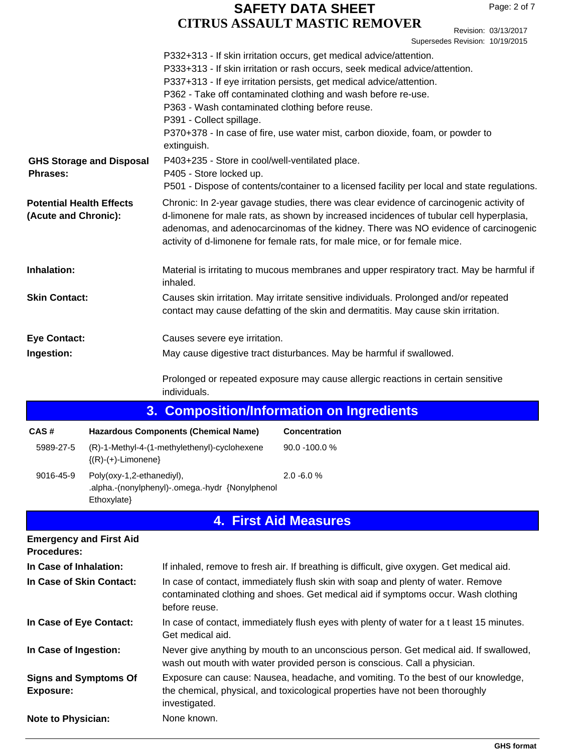Revision: 03/13/2017 Supersedes Revision: 10/19/2015

|                                                                                                                                                                                                                                                                                                                                                                                                                   |                                          | P363 - Wash contaminated clothing before reuse.<br>P391 - Collect spillage.<br>extinguish. | P332+313 - If skin irritation occurs, get medical advice/attention.<br>P333+313 - If skin irritation or rash occurs, seek medical advice/attention.<br>P337+313 - If eye irritation persists, get medical advice/attention.<br>P362 - Take off contaminated clothing and wash before re-use.<br>P370+378 - In case of fire, use water mist, carbon dioxide, foam, or powder to |
|-------------------------------------------------------------------------------------------------------------------------------------------------------------------------------------------------------------------------------------------------------------------------------------------------------------------------------------------------------------------------------------------------------------------|------------------------------------------|--------------------------------------------------------------------------------------------|--------------------------------------------------------------------------------------------------------------------------------------------------------------------------------------------------------------------------------------------------------------------------------------------------------------------------------------------------------------------------------|
| <b>Phrases:</b>                                                                                                                                                                                                                                                                                                                                                                                                   | <b>GHS Storage and Disposal</b>          | P403+235 - Store in cool/well-ventilated place.<br>P405 - Store locked up.                 | P501 - Dispose of contents/container to a licensed facility per local and state regulations.                                                                                                                                                                                                                                                                                   |
| Chronic: In 2-year gavage studies, there was clear evidence of carcinogenic activity of<br><b>Potential Health Effects</b><br>d-limonene for male rats, as shown by increased incidences of tubular cell hyperplasia,<br>(Acute and Chronic):<br>adenomas, and adenocarcinomas of the kidney. There was NO evidence of carcinogenic<br>activity of d-limonene for female rats, for male mice, or for female mice. |                                          |                                                                                            |                                                                                                                                                                                                                                                                                                                                                                                |
| Inhalation:                                                                                                                                                                                                                                                                                                                                                                                                       |                                          | inhaled.                                                                                   | Material is irritating to mucous membranes and upper respiratory tract. May be harmful if                                                                                                                                                                                                                                                                                      |
| <b>Skin Contact:</b>                                                                                                                                                                                                                                                                                                                                                                                              |                                          |                                                                                            | Causes skin irritation. May irritate sensitive individuals. Prolonged and/or repeated<br>contact may cause defatting of the skin and dermatitis. May cause skin irritation.                                                                                                                                                                                                    |
| <b>Eye Contact:</b>                                                                                                                                                                                                                                                                                                                                                                                               |                                          | Causes severe eye irritation.                                                              |                                                                                                                                                                                                                                                                                                                                                                                |
| Ingestion:                                                                                                                                                                                                                                                                                                                                                                                                        |                                          |                                                                                            | May cause digestive tract disturbances. May be harmful if swallowed.                                                                                                                                                                                                                                                                                                           |
|                                                                                                                                                                                                                                                                                                                                                                                                                   |                                          | individuals.                                                                               | Prolonged or repeated exposure may cause allergic reactions in certain sensitive                                                                                                                                                                                                                                                                                               |
|                                                                                                                                                                                                                                                                                                                                                                                                                   |                                          |                                                                                            | 3. Composition/Information on Ingredients                                                                                                                                                                                                                                                                                                                                      |
| CAS#                                                                                                                                                                                                                                                                                                                                                                                                              |                                          | <b>Hazardous Components (Chemical Name)</b>                                                | <b>Concentration</b>                                                                                                                                                                                                                                                                                                                                                           |
| 5989-27-5                                                                                                                                                                                                                                                                                                                                                                                                         | $\{(R)-(+)$ -Limonene $\}$               | (R)-1-Methyl-4-(1-methylethenyl)-cyclohexene                                               | 90.0 -100.0 %                                                                                                                                                                                                                                                                                                                                                                  |
| 9016-45-9                                                                                                                                                                                                                                                                                                                                                                                                         | Poly(oxy-1,2-ethanediyl),<br>Ethoxylate} | .alpha.-(nonylphenyl)-.omega.-hydr {Nonylphenol                                            | 2.0 -6.0%                                                                                                                                                                                                                                                                                                                                                                      |
|                                                                                                                                                                                                                                                                                                                                                                                                                   |                                          |                                                                                            | <b>4. First Aid Measures</b>                                                                                                                                                                                                                                                                                                                                                   |
| <b>Procedures:</b>                                                                                                                                                                                                                                                                                                                                                                                                | <b>Emergency and First Aid</b>           |                                                                                            |                                                                                                                                                                                                                                                                                                                                                                                |
| In Case of Inhalation:                                                                                                                                                                                                                                                                                                                                                                                            |                                          |                                                                                            | If inhaled, remove to fresh air. If breathing is difficult, give oxygen. Get medical aid.                                                                                                                                                                                                                                                                                      |
| In Case of Skin Contact:                                                                                                                                                                                                                                                                                                                                                                                          |                                          | before reuse.                                                                              | In case of contact, immediately flush skin with soap and plenty of water. Remove<br>contaminated clothing and shoes. Get medical aid if symptoms occur. Wash clothing                                                                                                                                                                                                          |
| In Case of Eye Contact:                                                                                                                                                                                                                                                                                                                                                                                           |                                          | Get medical aid.                                                                           | In case of contact, immediately flush eyes with plenty of water for a t least 15 minutes.                                                                                                                                                                                                                                                                                      |
| In Case of Ingestion:                                                                                                                                                                                                                                                                                                                                                                                             |                                          |                                                                                            | Never give anything by mouth to an unconscious person. Get medical aid. If swallowed,<br>wash out mouth with water provided person is conscious. Call a physician.                                                                                                                                                                                                             |
| <b>Signs and Symptoms Of</b><br><b>Exposure:</b>                                                                                                                                                                                                                                                                                                                                                                  |                                          | investigated.                                                                              | Exposure can cause: Nausea, headache, and vomiting. To the best of our knowledge,<br>the chemical, physical, and toxicological properties have not been thoroughly                                                                                                                                                                                                             |
| <b>Note to Physician:</b>                                                                                                                                                                                                                                                                                                                                                                                         |                                          | None known.                                                                                |                                                                                                                                                                                                                                                                                                                                                                                |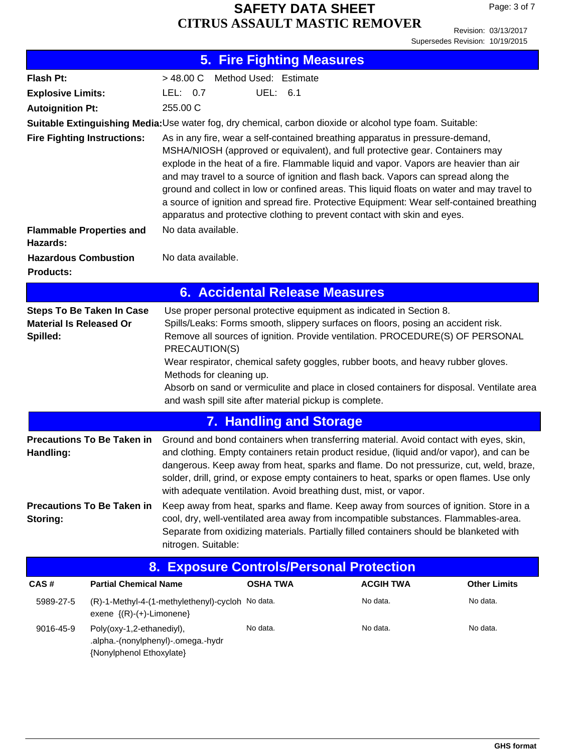Revision: 03/13/2017 Supersedes Revision: 10/19/2015

|                                                                                                                                                                                                                                                                                                                                                                                                                                                                                                                                                                                                                                                             |                                                                                                                                                                                                                                                                                                                                                                                                                                                                                                                                                                                                         |                                                  | <b>5. Fire Fighting Measures</b>      |                                                                                                                                                                                                                                                                                                                                                                                                                                              |                     |
|-------------------------------------------------------------------------------------------------------------------------------------------------------------------------------------------------------------------------------------------------------------------------------------------------------------------------------------------------------------------------------------------------------------------------------------------------------------------------------------------------------------------------------------------------------------------------------------------------------------------------------------------------------------|---------------------------------------------------------------------------------------------------------------------------------------------------------------------------------------------------------------------------------------------------------------------------------------------------------------------------------------------------------------------------------------------------------------------------------------------------------------------------------------------------------------------------------------------------------------------------------------------------------|--------------------------------------------------|---------------------------------------|----------------------------------------------------------------------------------------------------------------------------------------------------------------------------------------------------------------------------------------------------------------------------------------------------------------------------------------------------------------------------------------------------------------------------------------------|---------------------|
| Flash Pt:                                                                                                                                                                                                                                                                                                                                                                                                                                                                                                                                                                                                                                                   |                                                                                                                                                                                                                                                                                                                                                                                                                                                                                                                                                                                                         | > 48.00 C                                        | Method Used: Estimate                 |                                                                                                                                                                                                                                                                                                                                                                                                                                              |                     |
| <b>Explosive Limits:</b>                                                                                                                                                                                                                                                                                                                                                                                                                                                                                                                                                                                                                                    |                                                                                                                                                                                                                                                                                                                                                                                                                                                                                                                                                                                                         | UEL: 6.1<br>LEL: $0.7$                           |                                       |                                                                                                                                                                                                                                                                                                                                                                                                                                              |                     |
| 255.00 C<br><b>Autoignition Pt:</b>                                                                                                                                                                                                                                                                                                                                                                                                                                                                                                                                                                                                                         |                                                                                                                                                                                                                                                                                                                                                                                                                                                                                                                                                                                                         |                                                  |                                       |                                                                                                                                                                                                                                                                                                                                                                                                                                              |                     |
|                                                                                                                                                                                                                                                                                                                                                                                                                                                                                                                                                                                                                                                             |                                                                                                                                                                                                                                                                                                                                                                                                                                                                                                                                                                                                         |                                                  |                                       | Suitable Extinguishing Media: Use water fog, dry chemical, carbon dioxide or alcohol type foam. Suitable:                                                                                                                                                                                                                                                                                                                                    |                     |
| As in any fire, wear a self-contained breathing apparatus in pressure-demand,<br><b>Fire Fighting Instructions:</b><br>MSHA/NIOSH (approved or equivalent), and full protective gear. Containers may<br>explode in the heat of a fire. Flammable liquid and vapor. Vapors are heavier than air<br>and may travel to a source of ignition and flash back. Vapors can spread along the<br>ground and collect in low or confined areas. This liquid floats on water and may travel to<br>a source of ignition and spread fire. Protective Equipment: Wear self-contained breathing<br>apparatus and protective clothing to prevent contact with skin and eyes. |                                                                                                                                                                                                                                                                                                                                                                                                                                                                                                                                                                                                         |                                                  |                                       |                                                                                                                                                                                                                                                                                                                                                                                                                                              |                     |
|                                                                                                                                                                                                                                                                                                                                                                                                                                                                                                                                                                                                                                                             | <b>Flammable Properties and</b>                                                                                                                                                                                                                                                                                                                                                                                                                                                                                                                                                                         | No data available.                               |                                       |                                                                                                                                                                                                                                                                                                                                                                                                                                              |                     |
| Hazards:<br><b>Hazardous Combustion</b><br><b>Products:</b>                                                                                                                                                                                                                                                                                                                                                                                                                                                                                                                                                                                                 |                                                                                                                                                                                                                                                                                                                                                                                                                                                                                                                                                                                                         | No data available.                               |                                       |                                                                                                                                                                                                                                                                                                                                                                                                                                              |                     |
|                                                                                                                                                                                                                                                                                                                                                                                                                                                                                                                                                                                                                                                             |                                                                                                                                                                                                                                                                                                                                                                                                                                                                                                                                                                                                         |                                                  | <b>6. Accidental Release Measures</b> |                                                                                                                                                                                                                                                                                                                                                                                                                                              |                     |
| Spilled:                                                                                                                                                                                                                                                                                                                                                                                                                                                                                                                                                                                                                                                    | <b>Steps To Be Taken In Case</b><br>Use proper personal protective equipment as indicated in Section 8.<br><b>Material Is Released Or</b><br>Spills/Leaks: Forms smooth, slippery surfaces on floors, posing an accident risk.<br>Remove all sources of ignition. Provide ventilation. PROCEDURE(S) OF PERSONAL<br>PRECAUTION(S)<br>Wear respirator, chemical safety goggles, rubber boots, and heavy rubber gloves.<br>Methods for cleaning up.<br>Absorb on sand or vermiculite and place in closed containers for disposal. Ventilate area<br>and wash spill site after material pickup is complete. |                                                  |                                       |                                                                                                                                                                                                                                                                                                                                                                                                                                              |                     |
|                                                                                                                                                                                                                                                                                                                                                                                                                                                                                                                                                                                                                                                             |                                                                                                                                                                                                                                                                                                                                                                                                                                                                                                                                                                                                         |                                                  | <b>7. Handling and Storage</b>        |                                                                                                                                                                                                                                                                                                                                                                                                                                              |                     |
| Handling:                                                                                                                                                                                                                                                                                                                                                                                                                                                                                                                                                                                                                                                   | <b>Precautions To Be Taken in</b>                                                                                                                                                                                                                                                                                                                                                                                                                                                                                                                                                                       |                                                  |                                       | Ground and bond containers when transferring material. Avoid contact with eyes, skin,<br>and clothing. Empty containers retain product residue, (liquid and/or vapor), and can be<br>dangerous. Keep away from heat, sparks and flame. Do not pressurize, cut, weld, braze,<br>solder, drill, grind, or expose empty containers to heat, sparks or open flames. Use only<br>with adequate ventilation. Avoid breathing dust, mist, or vapor. |                     |
| Storing:                                                                                                                                                                                                                                                                                                                                                                                                                                                                                                                                                                                                                                                    | <b>Precautions To Be Taken in</b>                                                                                                                                                                                                                                                                                                                                                                                                                                                                                                                                                                       | nitrogen. Suitable:                              |                                       | Keep away from heat, sparks and flame. Keep away from sources of ignition. Store in a<br>cool, dry, well-ventilated area away from incompatible substances. Flammables-area.<br>Separate from oxidizing materials. Partially filled containers should be blanketed with                                                                                                                                                                      |                     |
|                                                                                                                                                                                                                                                                                                                                                                                                                                                                                                                                                                                                                                                             | 8.                                                                                                                                                                                                                                                                                                                                                                                                                                                                                                                                                                                                      |                                                  |                                       | <b>Exposure Controls/Personal Protection</b>                                                                                                                                                                                                                                                                                                                                                                                                 |                     |
| CAS#                                                                                                                                                                                                                                                                                                                                                                                                                                                                                                                                                                                                                                                        | <b>Partial Chemical Name</b>                                                                                                                                                                                                                                                                                                                                                                                                                                                                                                                                                                            |                                                  | <b>OSHA TWA</b>                       | <b>ACGIH TWA</b>                                                                                                                                                                                                                                                                                                                                                                                                                             | <b>Other Limits</b> |
| 5989-27-5                                                                                                                                                                                                                                                                                                                                                                                                                                                                                                                                                                                                                                                   | exene ${(R)-(+)$ -Limonene}                                                                                                                                                                                                                                                                                                                                                                                                                                                                                                                                                                             | (R)-1-Methyl-4-(1-methylethenyl)-cycloh No data. |                                       | No data.                                                                                                                                                                                                                                                                                                                                                                                                                                     | No data.            |
| 9016-45-9                                                                                                                                                                                                                                                                                                                                                                                                                                                                                                                                                                                                                                                   | Poly(oxy-1,2-ethanediyl),<br>.alpha.-(nonylphenyl)-.omega.-hydr<br>{Nonylphenol Ethoxylate}                                                                                                                                                                                                                                                                                                                                                                                                                                                                                                             |                                                  | No data.                              | No data.                                                                                                                                                                                                                                                                                                                                                                                                                                     | No data.            |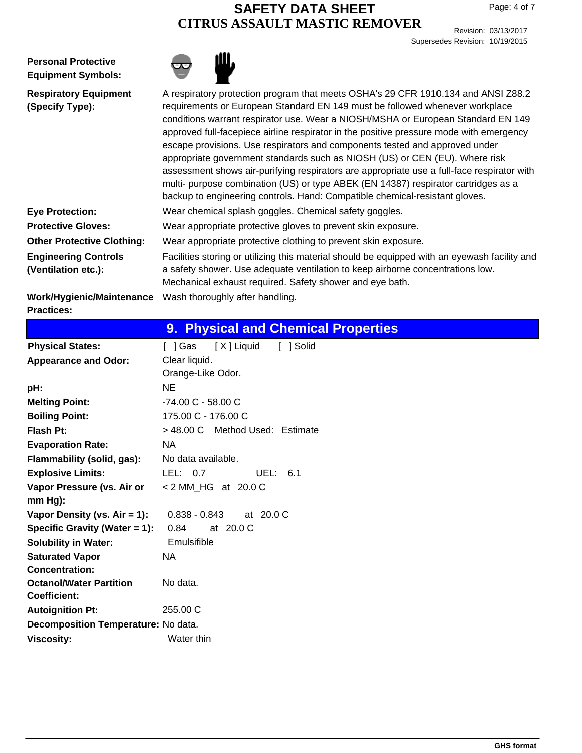Revision: 03/13/2017 Supersedes Revision: 10/19/2015

**Personal Protective Equipment Symbols:**



| <b>Respiratory Equipment</b>      | A respiratory protection program that meets OSHA's 29 CFR 1910.134 and ANSI Z88.2             |
|-----------------------------------|-----------------------------------------------------------------------------------------------|
| (Specify Type):                   | requirements or European Standard EN 149 must be followed whenever workplace                  |
|                                   | conditions warrant respirator use. Wear a NIOSH/MSHA or European Standard EN 149              |
|                                   | approved full-facepiece airline respirator in the positive pressure mode with emergency       |
|                                   | escape provisions. Use respirators and components tested and approved under                   |
|                                   | appropriate government standards such as NIOSH (US) or CEN (EU). Where risk                   |
|                                   | assessment shows air-purifying respirators are appropriate use a full-face respirator with    |
|                                   | multi- purpose combination (US) or type ABEK (EN 14387) respirator cartridges as a            |
|                                   | backup to engineering controls. Hand: Compatible chemical-resistant gloves.                   |
| <b>Eye Protection:</b>            | Wear chemical splash goggles. Chemical safety goggles.                                        |
| <b>Protective Gloves:</b>         | Wear appropriate protective gloves to prevent skin exposure.                                  |
| <b>Other Protective Clothing:</b> | Wear appropriate protective clothing to prevent skin exposure.                                |
| <b>Engineering Controls</b>       | Facilities storing or utilizing this material should be equipped with an eyewash facility and |
| (Ventilation etc.):               | a safety shower. Use adequate ventilation to keep airborne concentrations low.                |
|                                   | Mechanical exhaust required. Safety shower and eye bath.                                      |
| Work/Hygienic/Maintenance         | Wash thoroughly after handling.                                                               |
| <b>Practices:</b>                 |                                                                                               |

|                                     | <b>9. Physical and Chemical Properties</b>       |
|-------------------------------------|--------------------------------------------------|
| <b>Physical States:</b>             | $\lceil \ \rceil$ Gas<br>[X] Liquid<br>[ ] Solid |
| <b>Appearance and Odor:</b>         | Clear liquid.                                    |
|                                     | Orange-Like Odor.                                |
| pH:                                 | <b>NE</b>                                        |
| <b>Melting Point:</b>               | $-74.00$ C $-58.00$ C                            |
| <b>Boiling Point:</b>               | 175.00 C - 176.00 C                              |
| Flash Pt:                           | > 48.00 C Method Used: Estimate                  |
| <b>Evaporation Rate:</b>            | NA.                                              |
| Flammability (solid, gas):          | No data available.                               |
| <b>Explosive Limits:</b>            | LEL: $0.7$<br>UEL: $6.1$                         |
| Vapor Pressure (vs. Air or          | < 2 MM HG at 20.0 C                              |
| mm Hg):                             |                                                  |
| Vapor Density (vs. $Air = 1$ ):     | $0.838 - 0.843$<br>at 20.0 C                     |
| Specific Gravity (Water = 1):       | 0.84<br>at 20.0 C                                |
| <b>Solubility in Water:</b>         | Emulsifible                                      |
| <b>Saturated Vapor</b>              | NA.                                              |
| <b>Concentration:</b>               |                                                  |
| <b>Octanol/Water Partition</b>      | No data.                                         |
| <b>Coefficient:</b>                 |                                                  |
| <b>Autoignition Pt:</b>             | 255.00 C                                         |
| Decomposition Temperature: No data. |                                                  |
| <b>Viscosity:</b>                   | Water thin                                       |
|                                     |                                                  |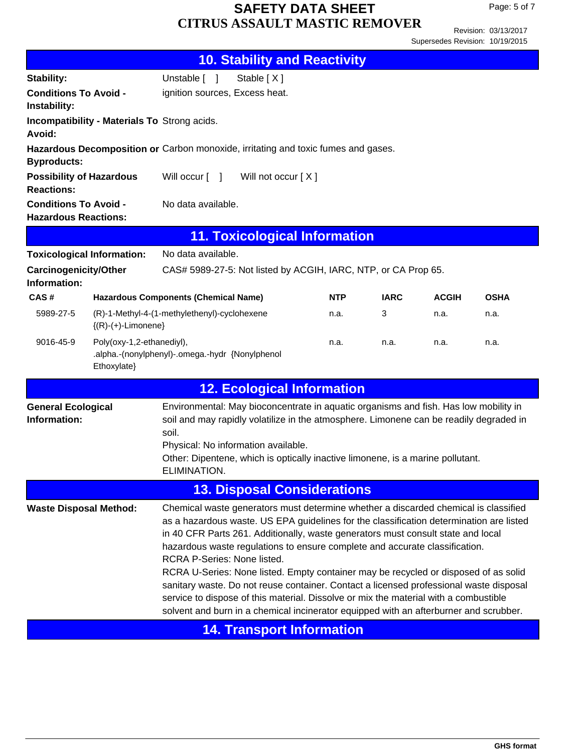Page: 5 of 7

Revision: 03/13/2017 Supersedes Revision: 10/19/2015

|                                                             |                                              |                                                 | <b>10. Stability and Reactivity</b>                                                                                                                                                                                                                                                                                                                                                                                                                                                                                                                                                                                                                                                                                 |            |             |              |             |
|-------------------------------------------------------------|----------------------------------------------|-------------------------------------------------|---------------------------------------------------------------------------------------------------------------------------------------------------------------------------------------------------------------------------------------------------------------------------------------------------------------------------------------------------------------------------------------------------------------------------------------------------------------------------------------------------------------------------------------------------------------------------------------------------------------------------------------------------------------------------------------------------------------------|------------|-------------|--------------|-------------|
| Stability:                                                  |                                              | Unstable [ ]                                    | Stable [X]                                                                                                                                                                                                                                                                                                                                                                                                                                                                                                                                                                                                                                                                                                          |            |             |              |             |
| <b>Conditions To Avoid -</b><br>Instability:                |                                              | ignition sources, Excess heat.                  |                                                                                                                                                                                                                                                                                                                                                                                                                                                                                                                                                                                                                                                                                                                     |            |             |              |             |
| Avoid:                                                      | Incompatibility - Materials To Strong acids. |                                                 |                                                                                                                                                                                                                                                                                                                                                                                                                                                                                                                                                                                                                                                                                                                     |            |             |              |             |
| <b>Byproducts:</b>                                          |                                              |                                                 | Hazardous Decomposition or Carbon monoxide, irritating and toxic fumes and gases.                                                                                                                                                                                                                                                                                                                                                                                                                                                                                                                                                                                                                                   |            |             |              |             |
| <b>Possibility of Hazardous</b><br><b>Reactions:</b>        |                                              | Will occur [ ]                                  | Will not occur [ X ]                                                                                                                                                                                                                                                                                                                                                                                                                                                                                                                                                                                                                                                                                                |            |             |              |             |
| <b>Conditions To Avoid -</b><br><b>Hazardous Reactions:</b> |                                              | No data available.                              |                                                                                                                                                                                                                                                                                                                                                                                                                                                                                                                                                                                                                                                                                                                     |            |             |              |             |
|                                                             |                                              |                                                 | <b>11. Toxicological Information</b>                                                                                                                                                                                                                                                                                                                                                                                                                                                                                                                                                                                                                                                                                |            |             |              |             |
| <b>Toxicological Information:</b>                           |                                              | No data available.                              |                                                                                                                                                                                                                                                                                                                                                                                                                                                                                                                                                                                                                                                                                                                     |            |             |              |             |
| <b>Carcinogenicity/Other</b><br>Information:                |                                              |                                                 | CAS# 5989-27-5: Not listed by ACGIH, IARC, NTP, or CA Prop 65.                                                                                                                                                                                                                                                                                                                                                                                                                                                                                                                                                                                                                                                      |            |             |              |             |
| CAS#                                                        |                                              | <b>Hazardous Components (Chemical Name)</b>     |                                                                                                                                                                                                                                                                                                                                                                                                                                                                                                                                                                                                                                                                                                                     | <b>NTP</b> | <b>IARC</b> | <b>ACGIH</b> | <b>OSHA</b> |
| 5989-27-5                                                   | $\{(R)-(+)$ -Limonene $\}$                   | (R)-1-Methyl-4-(1-methylethenyl)-cyclohexene    |                                                                                                                                                                                                                                                                                                                                                                                                                                                                                                                                                                                                                                                                                                                     | n.a.       | 3           | n.a.         | n.a.        |
| 9016-45-9                                                   | Poly(oxy-1,2-ethanediyl),<br>Ethoxylate}     | .alpha.-(nonylphenyl)-.omega.-hydr {Nonylphenol |                                                                                                                                                                                                                                                                                                                                                                                                                                                                                                                                                                                                                                                                                                                     | n.a.       | n.a.        | n.a.         | n.a.        |
|                                                             |                                              |                                                 | <b>12. Ecological Information</b>                                                                                                                                                                                                                                                                                                                                                                                                                                                                                                                                                                                                                                                                                   |            |             |              |             |
| <b>General Ecological</b><br>Information:                   |                                              | soil.<br>ELIMINATION.                           | Environmental: May bioconcentrate in aquatic organisms and fish. Has low mobility in<br>soil and may rapidly volatilize in the atmosphere. Limonene can be readily degraded in<br>Physical: No information available.<br>Other: Dipentene, which is optically inactive limonene, is a marine pollutant.                                                                                                                                                                                                                                                                                                                                                                                                             |            |             |              |             |
|                                                             |                                              |                                                 | <b>13. Disposal Considerations</b>                                                                                                                                                                                                                                                                                                                                                                                                                                                                                                                                                                                                                                                                                  |            |             |              |             |
| <b>Waste Disposal Method:</b>                               |                                              | RCRA P-Series: None listed.                     | Chemical waste generators must determine whether a discarded chemical is classified<br>as a hazardous waste. US EPA guidelines for the classification determination are listed<br>in 40 CFR Parts 261. Additionally, waste generators must consult state and local<br>hazardous waste regulations to ensure complete and accurate classification.<br>RCRA U-Series: None listed. Empty container may be recycled or disposed of as solid<br>sanitary waste. Do not reuse container. Contact a licensed professional waste disposal<br>service to dispose of this material. Dissolve or mix the material with a combustible<br>solvent and burn in a chemical incinerator equipped with an afterburner and scrubber. |            |             |              |             |
|                                                             |                                              |                                                 | <b>14. Transport Information</b>                                                                                                                                                                                                                                                                                                                                                                                                                                                                                                                                                                                                                                                                                    |            |             |              |             |